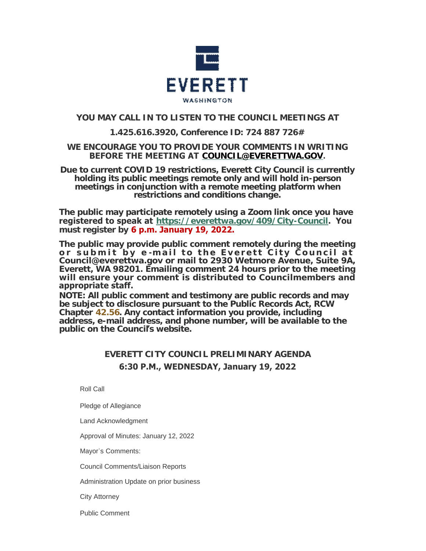

# **YOU MAY CALL IN TO LISTEN TO THE COUNCIL MEETINGS AT**

## **1.425.616.3920, Conference ID: 724 887 726#**

### **WE ENCOURAGE YOU TO PROVIDE YOUR COMMENTS IN WRITING BEFORE THE MEETING AT [COUNCIL@EVERETTWA.GOV](mailto:COUNCIL@EVERETTWA.GOV).**

**Due to current COVID 19 restrictions, Everett City Council is currently holding its public meetings remote only and will hold in-person meetings in conjunction with a remote meeting platform when restrictions and conditions change.**

**The public may participate remotely using a Zoom link once you have registered to speak at <https://everettwa.gov/409/City-Council>. You must register by 6 p.m. January 19, 2022.** 

**The public may provide public comment remotely during the meeting or submit by e -mail to the Everett City Council at Council@everettwa.gov or mail to 2930 Wetmore Avenue, Suite 9A, Everett, WA 98201. Emailing comment 24 hours prior to the meeting will ensure your comment is distributed to Councilmembers and appropriate staff.** 

*NOTE: All public comment and testimony are public records and may be subject to disclosure pursuant to the Public Records Act, RCW Chapter [42.56](https://apps.leg.wa.gov/rcw/default.aspx?cite=42.56). Any contact information you provide, including address, e-mail address, and phone number, will be available to the public on the Council***'***s website.*

# **EVERETT CITY COUNCIL PRELIMINARY AGENDA 6:30 P.M., WEDNESDAY, January 19, 2022**

Roll Call

Pledge of Allegiance

Land Acknowledgment

Approval of Minutes: January 12, 2022

Mayor's Comments:

Council Comments/Liaison Reports

Administration Update on prior business

City Attorney

Public Comment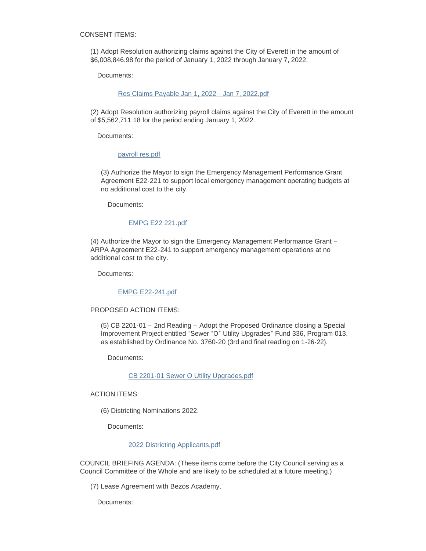CONSENT ITEMS:

(1) Adopt Resolution authorizing claims against the City of Everett in the amount of \$6,008,846.98 for the period of January 1, 2022 through January 7, 2022.

Documents:

[Res Claims Payable Jan 1, 2022 -](https://www.everettwa.gov/AgendaCenter/ViewFile/Item/13300?fileID=79688) Jan 7, 2022.pdf

(2) Adopt Resolution authorizing payroll claims against the City of Everett in the amount of \$5,562,711.18 for the period ending January 1, 2022.

Documents:

[payroll res.pdf](https://www.everettwa.gov/AgendaCenter/ViewFile/Item/13301?fileID=79689)

(3) Authorize the Mayor to sign the Emergency Management Performance Grant Agreement E22-221 to support local emergency management operating budgets at no additional cost to the city.

Documents:

#### [EMPG E22 221.pdf](https://www.everettwa.gov/AgendaCenter/ViewFile/Item/13302?fileID=79690)

(4) Authorize the Mayor to sign the Emergency Management Performance Grant – ARPA Agreement E22-241 to support emergency management operations at no additional cost to the city.

Documents:

#### [EMPG E22-241.pdf](https://www.everettwa.gov/AgendaCenter/ViewFile/Item/13303?fileID=79691)

#### PROPOSED ACTION ITEMS:

(5) CB 2201-01 – 2nd Reading – Adopt the Proposed Ordinance closing a Special Improvement Project entitled "Sewer "O" Utility Upgrades" Fund 336, Program 013, as established by Ordinance No. 3760-20 (3rd and final reading on 1-26-22).

Documents:

#### [CB 2201-01 Sewer O Utility Upgrades.pdf](https://www.everettwa.gov/AgendaCenter/ViewFile/Item/13305?fileID=79693)

ACTION ITEMS:

(6) Districting Nominations 2022.

Documents:

#### [2022 Districting Applicants.pdf](https://www.everettwa.gov/AgendaCenter/ViewFile/Item/13310?fileID=79790)

COUNCIL BRIEFING AGENDA: (These items come before the City Council serving as a Council Committee of the Whole and are likely to be scheduled at a future meeting.)

(7) Lease Agreement with Bezos Academy.

Documents: